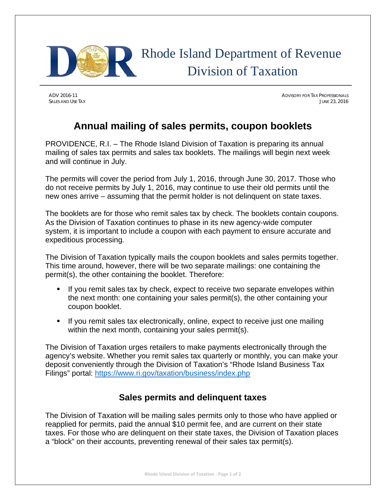

ADV 2016-11 ADVISORY FOR TAX PROFESSIONALS SALES AND USE TAX **SALES AND USE TAX** JUNE 23, 2016

## **Annual mailing of sales permits, coupon booklets**

PROVIDENCE, R.I. – The Rhode Island Division of Taxation is preparing its annual mailing of sales tax permits and sales tax booklets. The mailings will begin next week and will continue in July.

The permits will cover the period from July 1, 2016, through June 30, 2017. Those who do not receive permits by July 1, 2016, may continue to use their old permits until the new ones arrive – assuming that the permit holder is not delinquent on state taxes.

The booklets are for those who remit sales tax by check. The booklets contain coupons. As the Division of Taxation continues to phase in its new agency-wide computer system, it is important to include a coupon with each payment to ensure accurate and expeditious processing.

The Division of Taxation typically mails the coupon booklets and sales permits together. This time around, however, there will be two separate mailings: one containing the permit(s), the other containing the booklet. Therefore:

- If you remit sales tax by check, expect to receive two separate envelopes within the next month: one containing your sales permit(s), the other containing your coupon booklet.
- If you remit sales tax electronically, online, expect to receive just one mailing within the next month, containing your sales permit(s).

The Division of Taxation urges retailers to make payments electronically through the agency's website. Whether you remit sales tax quarterly or monthly, you can make your deposit conveniently through the Division of Taxation's "Rhode Island Business Tax Filings" portal: https://www.ri.gov/taxation/business/index.php

## **Sales permits and delinquent taxes**

The Division of Taxation will be mailing sales permits only to those who have applied or reapplied for permits, paid the annual \$10 permit fee, and are current on their state taxes. For those who are delinquent on their state taxes, the Division of Taxation places a "block" on their accounts, preventing renewal of their sales tax permit(s).